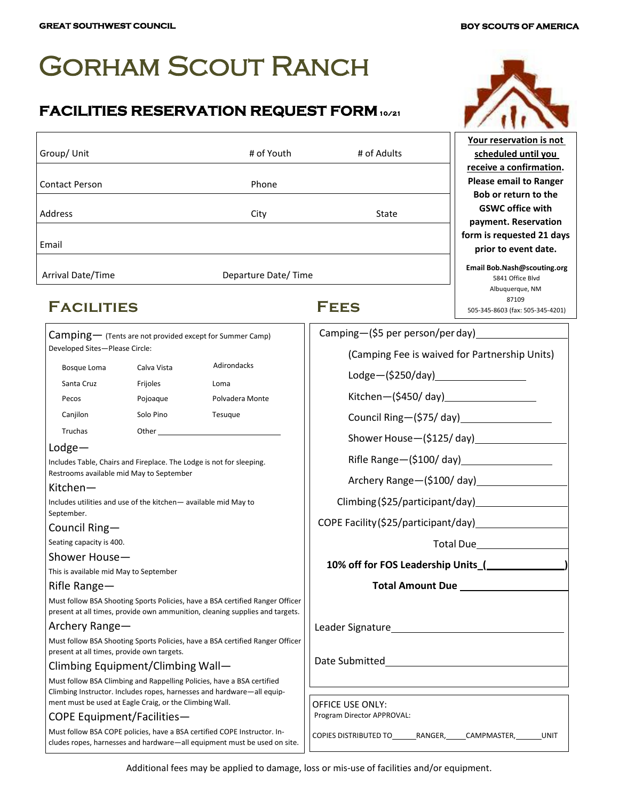# Gorham Scout Ranch

### **FACILITIES RESERVATION REQUEST FORM 10/21**

| Group/Unit            | # of Youth          | # of Adults |
|-----------------------|---------------------|-------------|
|                       |                     |             |
| <b>Contact Person</b> | Phone               |             |
|                       |                     |             |
| Address               | City                | State       |
|                       |                     |             |
| Email                 |                     |             |
|                       |                     |             |
| Arrival Date/Time     | Departure Date/Time |             |

## **Facilities Fees**

| Camping- (Tents are not provided except for Summer Camp) |
|----------------------------------------------------------|
| Developed Sites-Please Circle:                           |

| Bosque Loma | Calva Vista | Adirondacks     |
|-------------|-------------|-----------------|
| Santa Cruz  | Frijoles    | Loma            |
| Pecos       | Pojoaque    | Polvadera Monte |
| Canjilon    | Solo Pino   | Tesugue         |
| Truchas     | Other       |                 |

#### Lodge—

Includes Table, Chairs and Fireplace. The Lodge is not for sleeping. Restrooms available mid May to September

#### Kitchen—

Includes utilities and use of the kitchen— available mid May to September.

### Council Ring—

Seating capacity is 400.

#### Shower House—

This is available mid May to September

#### Rifle Range—

Must follow BSA Shooting Sports Policies, have a BSA certified Ranger Officer present at all times, provide own ammunition, cleaning supplies and targets

#### Archery Range—

Must follow BSA Shooting Sports Policies, have a BSA certified Ranger Officer present at all times, provide own targets.

#### Climbing Equipment/Climbing Wall—

Must follow BSA Climbing and Rappelling Policies, have a BSA certified Climbing Instructor. Includes ropes, harnesses and hardware—all equipment must be used at Eagle Craig, or the Climbing Wall.

#### COPE Equipment/Facilities—

Must follow BSA COPE policies, have a BSA certified COPE Instructor. Includes ropes, harnesses and hardware—all equipment must be used on site.

| Camping—(\$5 per person/per day)                               |
|----------------------------------------------------------------|
| (Camping Fee is waived for Partnership Units)                  |
| Lodge-(\$250/day)____________________                          |
|                                                                |
|                                                                |
| Shower House-(\$125/day)                                       |
| Rifle Range-(\$100/ day)___________________                    |
|                                                                |
| Climbing (\$25/participant/day) [130]                          |
|                                                                |
|                                                                |
|                                                                |
|                                                                |
|                                                                |
|                                                                |
|                                                                |
|                                                                |
|                                                                |
| <b>OFFICE USE ONLY:</b><br>Program Director APPROVAL:          |
| COPIES DISTRIBUTED TO_______RANGER,_____CAMPMASTER,_______UNIT |
|                                                                |



**Your reservation is not scheduled until you receive a confirmation. Please email to Ranger Bob or return to the GSWC office with payment. Reservation form is requested 21 days prior to event date.**

**Email Bob.Nash@scouting.org** 5841 Office Blvd Albuquerque, NM 87109 505-345-8603 (fax: 505-345-4201)

Additional fees may be applied to damage, loss or mis-use of facilities and/or equipment.